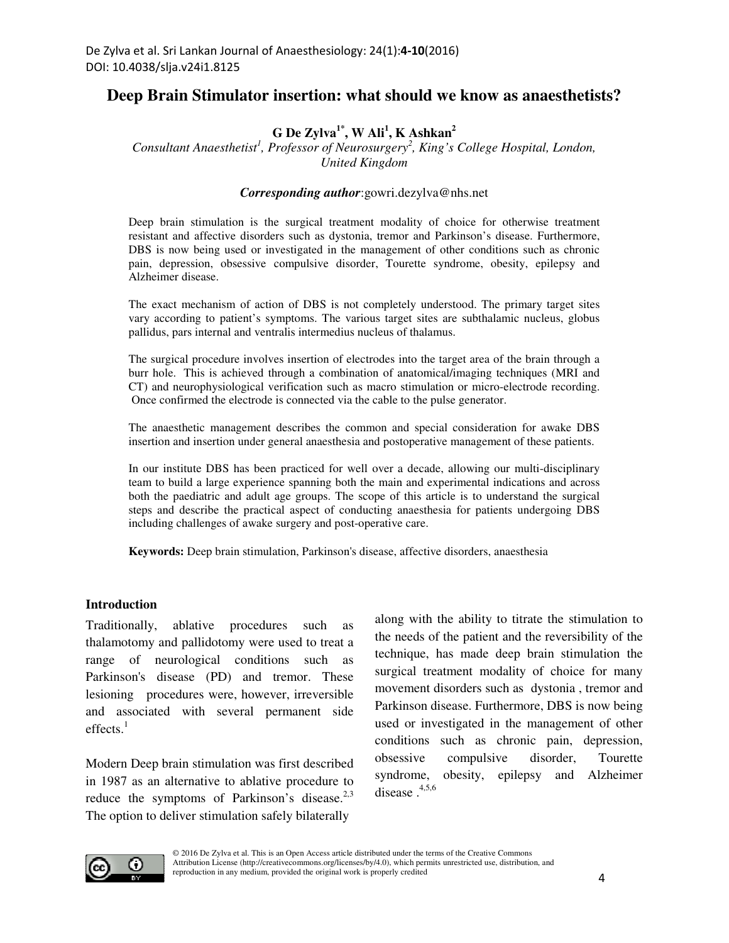# **Deep Brain Stimulator insertion: what should we know as anaesthetists?**

# **G De Zylva1\*, W Ali<sup>1</sup> , K Ashkan<sup>2</sup>**

*Consultant Anaesthetist<sup>1</sup> , Professor of Neurosurgery<sup>2</sup> , King's College Hospital, London, United Kingdom* 

#### *Corresponding author*:gowri.dezylva@nhs.net

Deep brain stimulation is the surgical treatment modality of choice for otherwise treatment resistant and affective disorders such as dystonia, tremor and Parkinson's disease. Furthermore, DBS is now being used or investigated in the management of other conditions such as chronic pain, depression, obsessive compulsive disorder, Tourette syndrome, obesity, epilepsy and Alzheimer disease.

The exact mechanism of action of DBS is not completely understood. The primary target sites vary according to patient's symptoms. The various target sites are subthalamic nucleus, globus pallidus, pars internal and ventralis intermedius nucleus of thalamus.

The surgical procedure involves insertion of electrodes into the target area of the brain through a burr hole. This is achieved through a combination of anatomical/imaging techniques (MRI and CT) and neurophysiological verification such as macro stimulation or micro-electrode recording. Once confirmed the electrode is connected via the cable to the pulse generator.

The anaesthetic management describes the common and special consideration for awake DBS insertion and insertion under general anaesthesia and postoperative management of these patients.

In our institute DBS has been practiced for well over a decade, allowing our multi-disciplinary team to build a large experience spanning both the main and experimental indications and across both the paediatric and adult age groups. The scope of this article is to understand the surgical steps and describe the practical aspect of conducting anaesthesia for patients undergoing DBS including challenges of awake surgery and post-operative care.

**Keywords:** Deep brain stimulation, Parkinson's disease, affective disorders, anaesthesia

#### **Introduction**

Traditionally, ablative procedures such as thalamotomy and pallidotomy were used to treat a range of neurological conditions such as Parkinson's disease (PD) and tremor. These lesioning procedures were, however, irreversible and associated with several permanent side effects. $<sup>1</sup>$ </sup>

Modern Deep brain stimulation was first described in 1987 as an alternative to ablative procedure to reduce the symptoms of Parkinson's disease. $2.3$ The option to deliver stimulation safely bilaterally

along with the ability to titrate the stimulation to the needs of the patient and the reversibility of the technique, has made deep brain stimulation the surgical treatment modality of choice for many movement disorders such as dystonia , tremor and Parkinson disease. Furthermore, DBS is now being used or investigated in the management of other conditions such as chronic pain, depression, obsessive compulsive disorder, Tourette syndrome, obesity, epilepsy and Alzheimer disease  $.4,5,6$ 

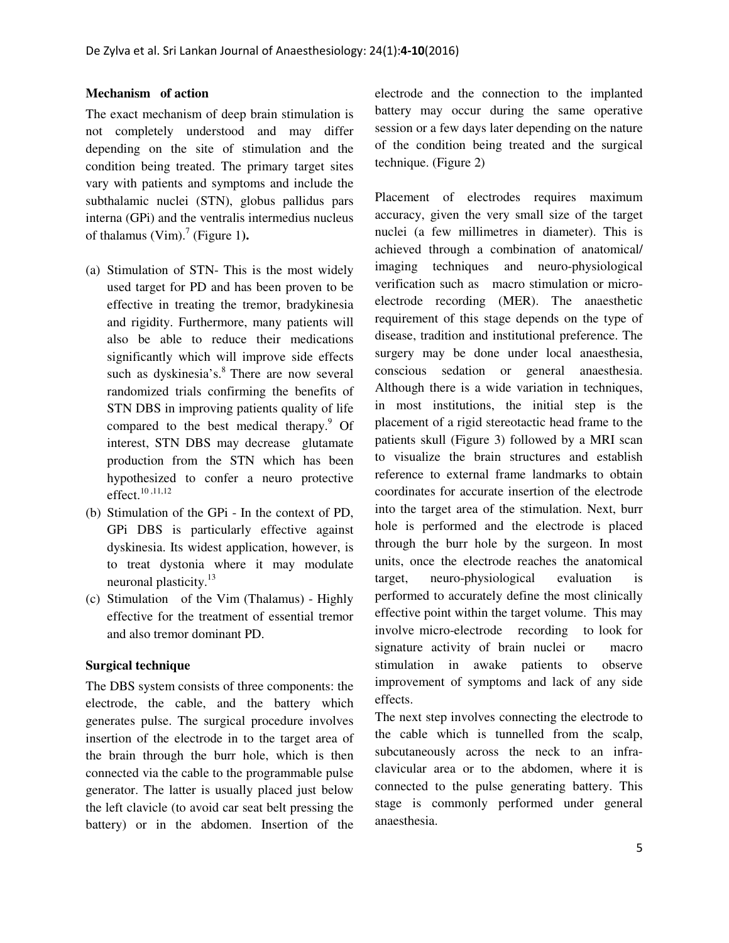#### **Mechanism of action**

The exact mechanism of deep brain stimulation is not completely understood and may differ depending on the site of stimulation and the condition being treated. The primary target sites vary with patients and symptoms and include the subthalamic nuclei (STN), globus pallidus pars interna (GPi) and the ventralis intermedius nucleus of thalamus  $(Vim).$ <sup>7</sup> (Figure 1).

- (a) Stimulation of STN- This is the most widely used target for PD and has been proven to be effective in treating the tremor, bradykinesia and rigidity. Furthermore, many patients will also be able to reduce their medications significantly which will improve side effects such as dyskinesia's.<sup>8</sup> There are now several randomized trials confirming the benefits of STN DBS in improving patients quality of life compared to the best medical therapy.<sup>9</sup> Of interest, STN DBS may decrease glutamate production from the STN which has been hypothesized to confer a neuro protective effect. $10,11,12$
- (b) Stimulation of the GPi In the context of PD, GPi DBS is particularly effective against dyskinesia. Its widest application, however, is to treat dystonia where it may modulate neuronal plasticity. $^{13}$
- (c) Stimulation of the Vim (Thalamus) Highly effective for the treatment of essential tremor and also tremor dominant PD.

## **Surgical technique**

The DBS system consists of three components: the electrode, the cable, and the battery which generates pulse. The surgical procedure involves insertion of the electrode in to the target area of the brain through the burr hole, which is then connected via the cable to the programmable pulse generator. The latter is usually placed just below the left clavicle (to avoid car seat belt pressing the battery) or in the abdomen. Insertion of the

electrode and the connection to the implanted battery may occur during the same operative session or a few days later depending on the nature of the condition being treated and the surgical technique. (Figure 2)

Placement of electrodes requires maximum accuracy, given the very small size of the target nuclei (a few millimetres in diameter). This is achieved through a combination of anatomical/ imaging techniques and neuro-physiological verification such as macro stimulation or microelectrode recording (MER). The anaesthetic requirement of this stage depends on the type of disease, tradition and institutional preference. The surgery may be done under local anaesthesia, conscious sedation or general anaesthesia. Although there is a wide variation in techniques, in most institutions, the initial step is the placement of a rigid stereotactic head frame to the patients skull (Figure 3) followed by a MRI scan to visualize the brain structures and establish reference to external frame landmarks to obtain coordinates for accurate insertion of the electrode into the target area of the stimulation. Next, burr hole is performed and the electrode is placed through the burr hole by the surgeon. In most units, once the electrode reaches the anatomical target, neuro-physiological evaluation is performed to accurately define the most clinically effective point within the target volume. This may involve micro-electrode recording to look for signature activity of brain nuclei or macro stimulation in awake patients to observe improvement of symptoms and lack of any side effects.

The next step involves connecting the electrode to the cable which is tunnelled from the scalp, subcutaneously across the neck to an infraclavicular area or to the abdomen, where it is connected to the pulse generating battery. This stage is commonly performed under general anaesthesia.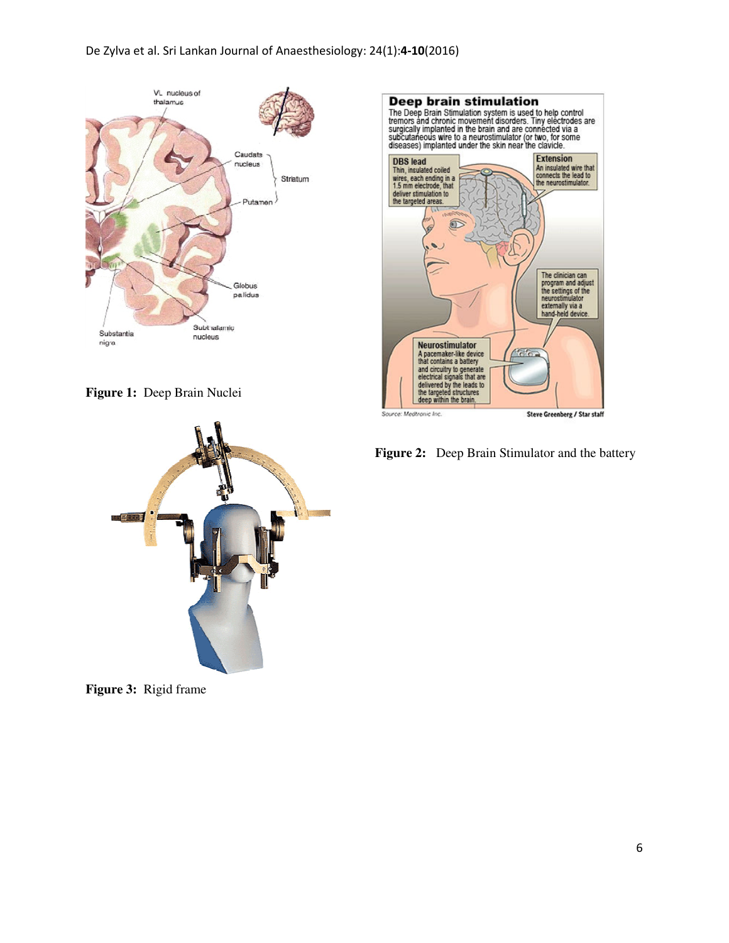





**Figure 3:** Rigid frame



Figure 2: Deep Brain Stimulator and the battery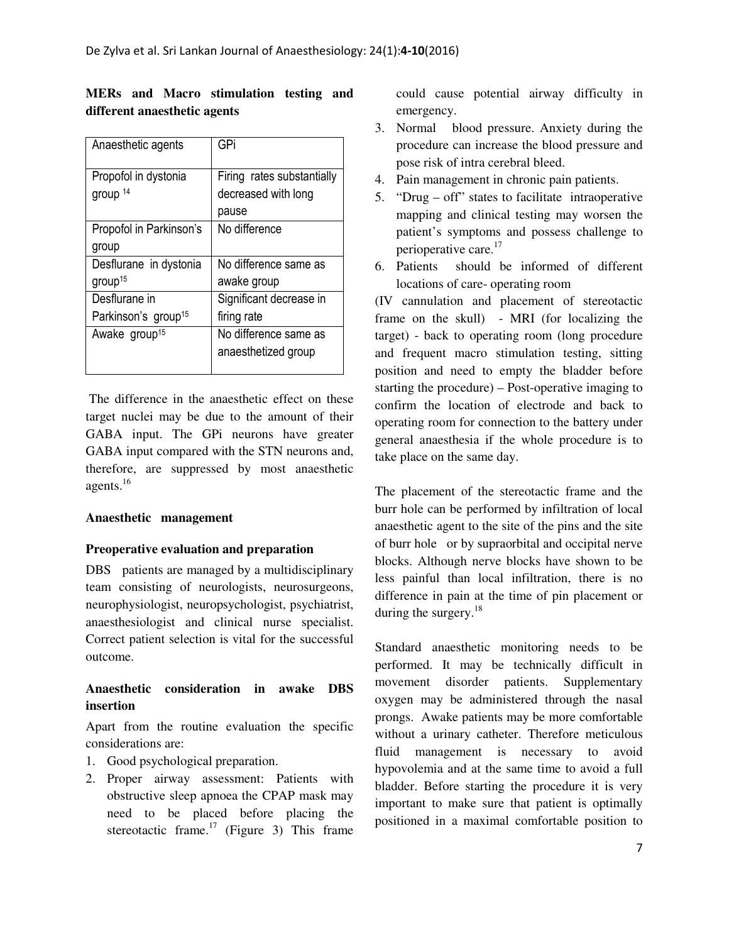| Anaesthetic agents              | GPi                        |
|---------------------------------|----------------------------|
| Propofol in dystonia            | Firing rates substantially |
| group <sup>14</sup>             | decreased with long        |
|                                 | pause                      |
| Propofol in Parkinson's         | No difference              |
| group                           |                            |
| Desflurane in dystonia          | No difference same as      |
| group <sup>15</sup>             | awake group                |
| Desflurane in                   | Significant decrease in    |
| Parkinson's group <sup>15</sup> | firing rate                |
| Awake group <sup>15</sup>       | No difference same as      |
|                                 | anaesthetized group        |
|                                 |                            |

**MERs and Macro stimulation testing and different anaesthetic agents** 

 The difference in the anaesthetic effect on these target nuclei may be due to the amount of their GABA input. The GPi neurons have greater GABA input compared with the STN neurons and, therefore, are suppressed by most anaesthetic agents.<sup>16</sup>

## **Anaesthetic management**

## **Preoperative evaluation and preparation**

DBS patients are managed by a multidisciplinary team consisting of neurologists, neurosurgeons, neurophysiologist, neuropsychologist, psychiatrist, anaesthesiologist and clinical nurse specialist. Correct patient selection is vital for the successful outcome.

## **Anaesthetic consideration in awake DBS insertion**

Apart from the routine evaluation the specific considerations are:

- 1. Good psychological preparation.
- 2. Proper airway assessment: Patients with obstructive sleep apnoea the CPAP mask may need to be placed before placing the stereotactic frame.<sup>17</sup> (Figure 3) This frame

could cause potential airway difficulty in emergency.

- 3. Normal blood pressure. Anxiety during the procedure can increase the blood pressure and pose risk of intra cerebral bleed.
- 4. Pain management in chronic pain patients.
- 5. "Drug off" states to facilitate intraoperative mapping and clinical testing may worsen the patient's symptoms and possess challenge to perioperative care.<sup>17</sup>
- 6. Patients should be informed of different locations of care- operating room

(IV cannulation and placement of stereotactic frame on the skull) - MRI (for localizing the target) - back to operating room (long procedure and frequent macro stimulation testing, sitting position and need to empty the bladder before starting the procedure) – Post-operative imaging to confirm the location of electrode and back to operating room for connection to the battery under general anaesthesia if the whole procedure is to take place on the same day.

The placement of the stereotactic frame and the burr hole can be performed by infiltration of local anaesthetic agent to the site of the pins and the site of burr hole or by supraorbital and occipital nerve blocks. Although nerve blocks have shown to be less painful than local infiltration, there is no difference in pain at the time of pin placement or during the surgery. $18$ 

Standard anaesthetic monitoring needs to be performed. It may be technically difficult in movement disorder patients. Supplementary oxygen may be administered through the nasal prongs. Awake patients may be more comfortable without a urinary catheter. Therefore meticulous fluid management is necessary to avoid hypovolemia and at the same time to avoid a full bladder. Before starting the procedure it is very important to make sure that patient is optimally positioned in a maximal comfortable position to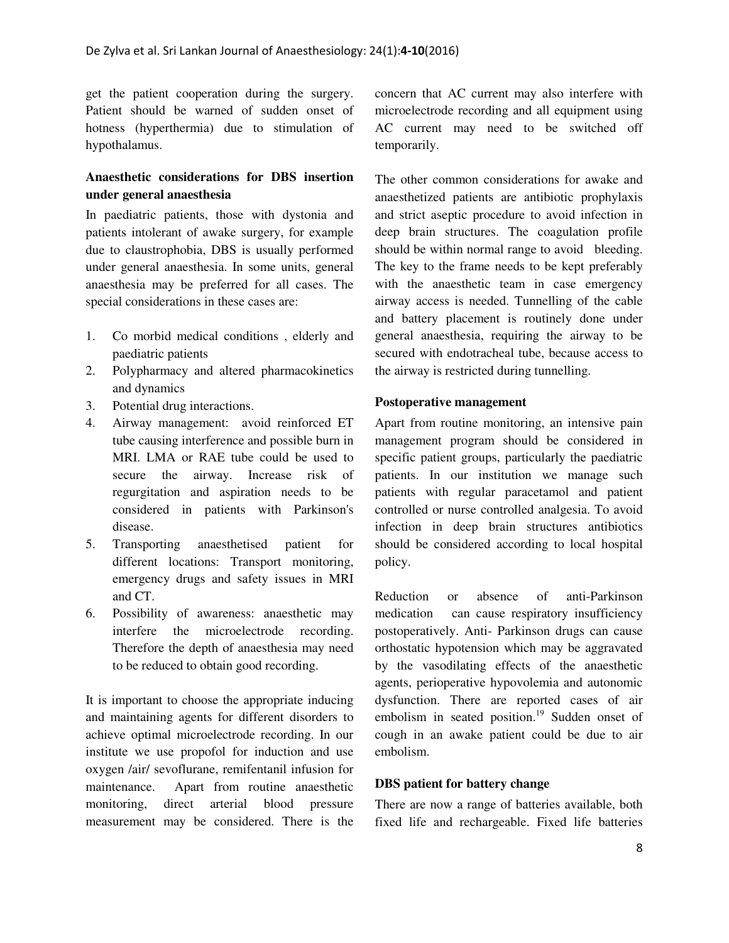get the patient cooperation during the surgery. Patient should be warned of sudden onset of hotness (hyperthermia) due to stimulation of hypothalamus.

## **Anaesthetic considerations for DBS insertion under general anaesthesia**

In paediatric patients, those with dystonia and patients intolerant of awake surgery, for example due to claustrophobia, DBS is usually performed under general anaesthesia. In some units, general anaesthesia may be preferred for all cases. The special considerations in these cases are:

- 1. Co morbid medical conditions , elderly and paediatric patients
- 2. Polypharmacy and altered pharmacokinetics and dynamics
- 3. Potential drug interactions.
- 4. Airway management: avoid reinforced ET tube causing interference and possible burn in MRI. LMA or RAE tube could be used to secure the airway. Increase risk of regurgitation and aspiration needs to be considered in patients with Parkinson's disease.
- 5. Transporting anaesthetised patient for different locations: Transport monitoring, emergency drugs and safety issues in MRI and CT.
- 6. Possibility of awareness: anaesthetic may interfere the microelectrode recording. Therefore the depth of anaesthesia may need to be reduced to obtain good recording.

It is important to choose the appropriate inducing and maintaining agents for different disorders to achieve optimal microelectrode recording. In our institute we use propofol for induction and use oxygen /air/ sevoflurane, remifentanil infusion for maintenance. Apart from routine anaesthetic monitoring, direct arterial blood pressure measurement may be considered. There is the

concern that AC current may also interfere with microelectrode recording and all equipment using AC current may need to be switched off temporarily.

The other common considerations for awake and anaesthetized patients are antibiotic prophylaxis and strict aseptic procedure to avoid infection in deep brain structures. The coagulation profile should be within normal range to avoid bleeding. The key to the frame needs to be kept preferably with the anaesthetic team in case emergency airway access is needed. Tunnelling of the cable and battery placement is routinely done under general anaesthesia, requiring the airway to be secured with endotracheal tube, because access to the airway is restricted during tunnelling.

#### **Postoperative management**

Apart from routine monitoring, an intensive pain management program should be considered in specific patient groups, particularly the paediatric patients. In our institution we manage such patients with regular paracetamol and patient controlled or nurse controlled analgesia. To avoid infection in deep brain structures antibiotics should be considered according to local hospital policy.

Reduction or absence of anti-Parkinson medication can cause respiratory insufficiency postoperatively. Anti- Parkinson drugs can cause orthostatic hypotension which may be aggravated by the vasodilating effects of the anaesthetic agents, perioperative hypovolemia and autonomic dysfunction. There are reported cases of air embolism in seated position.<sup>19</sup> Sudden onset of cough in an awake patient could be due to air embolism.

#### **DBS patient for battery change**

There are now a range of batteries available, both fixed life and rechargeable. Fixed life batteries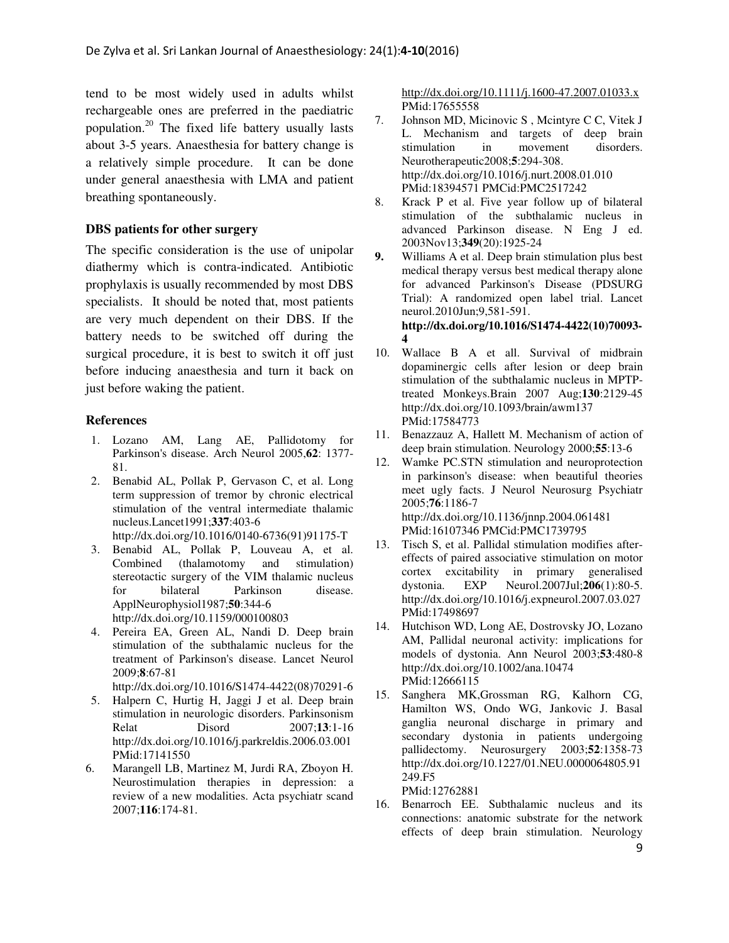tend to be most widely used in adults whilst rechargeable ones are preferred in the paediatric population.<sup>20</sup> The fixed life battery usually lasts about 3-5 years. Anaesthesia for battery change is a relatively simple procedure. It can be done under general anaesthesia with LMA and patient breathing spontaneously.

## **DBS patients for other surgery**

The specific consideration is the use of unipolar diathermy which is contra-indicated. Antibiotic prophylaxis is usually recommended by most DBS specialists. It should be noted that, most patients are very much dependent on their DBS. If the battery needs to be switched off during the surgical procedure, it is best to switch it off just before inducing anaesthesia and turn it back on just before waking the patient.

#### **References**

- 1. Lozano AM, Lang AE, Pallidotomy for Parkinson's disease. Arch Neurol 2005,**62**: 1377- 81.
- 2. Benabid AL, Pollak P, Gervason C, et al. Long term suppression of tremor by chronic electrical stimulation of the ventral intermediate thalamic nucleus.Lancet1991;**337**:403-6 http://dx.doi.org/10.1016/0140-6736(91)91175-T
- 3. Benabid AL, Pollak P, Louveau A, et al. Combined (thalamotomy and stimulation) stereotactic surgery of the VIM thalamic nucleus for bilateral Parkinson disease. ApplNeurophysiol1987;**50**:344-6 http://dx.doi.org/10.1159/000100803
- 4. Pereira EA, Green AL, Nandi D. Deep brain stimulation of the subthalamic nucleus for the treatment of Parkinson's disease. Lancet Neurol 2009;**8**:67-81 http://dx.doi.org/10.1016/S1474-4422(08)70291-6
- 5. Halpern C, Hurtig H, Jaggi J et al. Deep brain stimulation in neurologic disorders. Parkinsonism Relat Disord 2007;**13**:1-16 http://dx.doi.org/10.1016/j.parkreldis.2006.03.001 PMid:17141550
- 6. Marangell LB, Martinez M, Jurdi RA, Zboyon H. Neurostimulation therapies in depression: a review of a new modalities. Acta psychiatr scand 2007;**116**:174-81.

http://dx.doi.org/10.1111/j.1600-47.2007.01033.x PMid:17655558

- 7. Johnson MD, Micinovic S , Mcintyre C C, Vitek J L. Mechanism and targets of deep brain stimulation in movement disorders. Neurotherapeutic2008;**5**:294-308. http://dx.doi.org/10.1016/j.nurt.2008.01.010 PMid:18394571 PMCid:PMC2517242
- 8. Krack P et al. Five year follow up of bilateral stimulation of the subthalamic nucleus in advanced Parkinson disease. N Eng J ed. 2003Nov13;**349**(20):1925-24
- **9.** Williams A et al. Deep brain stimulation plus best medical therapy versus best medical therapy alone for advanced Parkinson's Disease (PDSURG Trial): A randomized open label trial. Lancet neurol.2010Jun;9,581-591. **http://dx.doi.org/10.1016/S1474-4422(10)70093- 4**
- 10. Wallace B A et all. Survival of midbrain dopaminergic cells after lesion or deep brain stimulation of the subthalamic nucleus in MPTPtreated Monkeys.Brain 2007 Aug;**130**:2129-45 http://dx.doi.org/10.1093/brain/awm137 PMid:17584773
- 11. Benazzauz A, Hallett M. Mechanism of action of deep brain stimulation. Neurology 2000;**55**:13-6
- 12. Wamke PC.STN stimulation and neuroprotection in parkinson's disease: when beautiful theories meet ugly facts. J Neurol Neurosurg Psychiatr 2005;**76**:1186-7 http://dx.doi.org/10.1136/jnnp.2004.061481 PMid:16107346 PMCid:PMC1739795
- 13. Tisch S, et al. Pallidal stimulation modifies aftereffects of paired associative stimulation on motor cortex excitability in primary generalised dystonia. EXP Neurol.2007Jul;**206**(1):80-5. http://dx.doi.org/10.1016/j.expneurol.2007.03.027 PMid:17498697
- 14. Hutchison WD, Long AE, Dostrovsky JO, Lozano AM, Pallidal neuronal activity: implications for models of dystonia. Ann Neurol 2003;**53**:480-8 http://dx.doi.org/10.1002/ana.10474 PMid:12666115
- 15. Sanghera MK,Grossman RG, Kalhorn CG, Hamilton WS, Ondo WG, Jankovic J. Basal ganglia neuronal discharge in primary and secondary dystonia in patients undergoing pallidectomy. Neurosurgery 2003;**52**:1358-73 http://dx.doi.org/10.1227/01.NEU.0000064805.91 249.F5

PMid:12762881

16. Benarroch EE. Subthalamic nucleus and its connections: anatomic substrate for the network effects of deep brain stimulation. Neurology